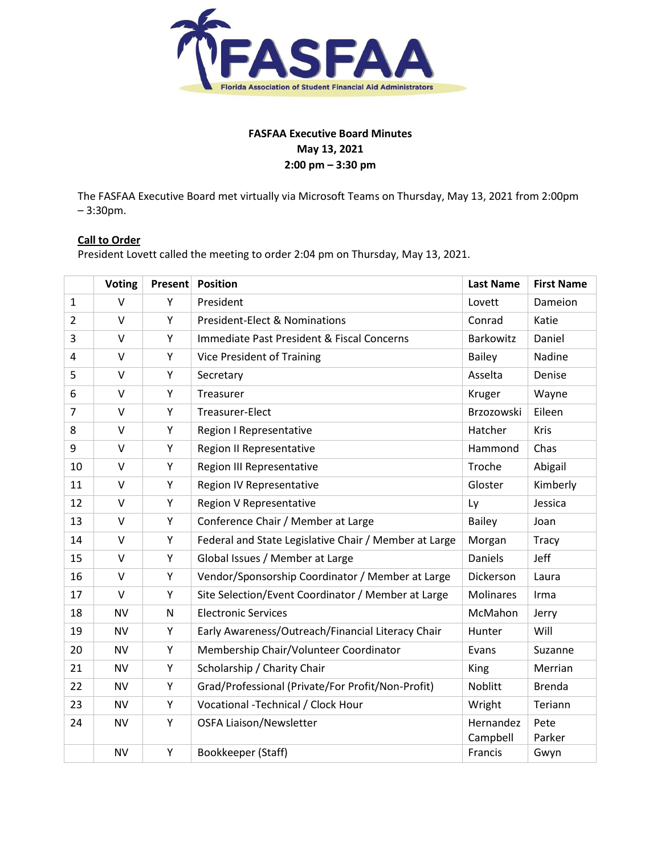

# **FASFAA Executive Board Minutes May 13, 2021 2:00 pm – 3:30 pm**

The FASFAA Executive Board met virtually via Microsoft Teams on Thursday, May 13, 2021 from 2:00pm – 3:30pm.

# **Call to Order**

President Lovett called the meeting to order 2:04 pm on Thursday, May 13, 2021.

|                | <b>Voting</b> | Present | <b>Position</b>                                       | <b>Last Name</b>      | <b>First Name</b> |
|----------------|---------------|---------|-------------------------------------------------------|-----------------------|-------------------|
| $\mathbf{1}$   | $\vee$        | Y       | President                                             | Lovett                | Dameion           |
| $\overline{2}$ | $\vee$        | Y       | <b>President-Elect &amp; Nominations</b>              | Conrad                | Katie             |
| 3              | $\vee$        | Y       | Immediate Past President & Fiscal Concerns            | Barkowitz             | Daniel            |
| 4              | $\vee$        | Υ       | Vice President of Training                            | <b>Bailey</b>         | Nadine            |
| 5              | V             | Υ       | Secretary                                             | Asselta               | Denise            |
| 6              | $\vee$        | Y       | Treasurer                                             | Kruger                | Wayne             |
| $\overline{7}$ | $\vee$        | Υ       | Treasurer-Elect                                       | Brzozowski            | Eileen            |
| 8              | $\vee$        | Υ       | Region I Representative                               | Hatcher               | Kris              |
| 9              | $\vee$        | Υ       | Region II Representative                              | Hammond               | Chas              |
| 10             | $\vee$        | Y       | Region III Representative                             | Troche                | Abigail           |
| 11             | $\vee$        | Υ       | Region IV Representative                              | Gloster               | Kimberly          |
| 12             | $\vee$        | Υ       | Region V Representative                               | Ly                    | Jessica           |
| 13             | $\vee$        | Υ       | Conference Chair / Member at Large                    | <b>Bailey</b>         | Joan              |
| 14             | $\vee$        | Y       | Federal and State Legislative Chair / Member at Large | Morgan                | Tracy             |
| 15             | $\vee$        | Υ       | Global Issues / Member at Large                       | Daniels               | Jeff              |
| 16             | V             | Υ       | Vendor/Sponsorship Coordinator / Member at Large      | Dickerson             | Laura             |
| 17             | $\vee$        | Y       | Site Selection/Event Coordinator / Member at Large    | <b>Molinares</b>      | Irma              |
| 18             | <b>NV</b>     | N       | <b>Electronic Services</b>                            | McMahon               | Jerry             |
| 19             | <b>NV</b>     | Υ       | Early Awareness/Outreach/Financial Literacy Chair     | Hunter                | Will              |
| 20             | <b>NV</b>     | Y       | Membership Chair/Volunteer Coordinator                | Evans                 | Suzanne           |
| 21             | <b>NV</b>     | Υ       | Scholarship / Charity Chair                           | King                  | Merrian           |
| 22             | <b>NV</b>     | Y       | Grad/Professional (Private/For Profit/Non-Profit)     | <b>Noblitt</b>        | <b>Brenda</b>     |
| 23             | <b>NV</b>     | Υ       | Vocational -Technical / Clock Hour                    | Wright                | Teriann           |
| 24             | <b>NV</b>     | Y       | <b>OSFA Liaison/Newsletter</b>                        | Hernandez<br>Campbell | Pete<br>Parker    |
|                | <b>NV</b>     | Y       | Bookkeeper (Staff)                                    | Francis               | Gwyn              |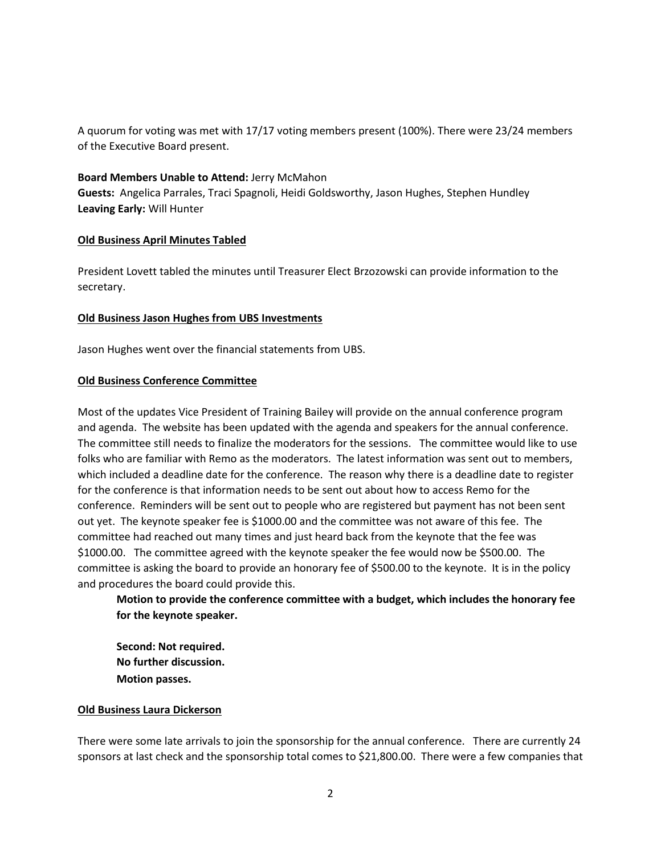A quorum for voting was met with 17/17 voting members present (100%). There were 23/24 members of the Executive Board present.

#### **Board Members Unable to Attend:** Jerry McMahon

**Guests:** Angelica Parrales, Traci Spagnoli, Heidi Goldsworthy, Jason Hughes, Stephen Hundley **Leaving Early:** Will Hunter

#### **Old Business April Minutes Tabled**

President Lovett tabled the minutes until Treasurer Elect Brzozowski can provide information to the secretary.

## **Old Business Jason Hughes from UBS Investments**

Jason Hughes went over the financial statements from UBS.

#### **Old Business Conference Committee**

Most of the updates Vice President of Training Bailey will provide on the annual conference program and agenda. The website has been updated with the agenda and speakers for the annual conference. The committee still needs to finalize the moderators for the sessions. The committee would like to use folks who are familiar with Remo as the moderators. The latest information was sent out to members, which included a deadline date for the conference. The reason why there is a deadline date to register for the conference is that information needs to be sent out about how to access Remo for the conference. Reminders will be sent out to people who are registered but payment has not been sent out yet. The keynote speaker fee is \$1000.00 and the committee was not aware of this fee. The committee had reached out many times and just heard back from the keynote that the fee was \$1000.00. The committee agreed with the keynote speaker the fee would now be \$500.00. The committee is asking the board to provide an honorary fee of \$500.00 to the keynote. It is in the policy and procedures the board could provide this.

**Motion to provide the conference committee with a budget, which includes the honorary fee for the keynote speaker.**

**Second: Not required. No further discussion. Motion passes.**

#### **Old Business Laura Dickerson**

There were some late arrivals to join the sponsorship for the annual conference. There are currently 24 sponsors at last check and the sponsorship total comes to \$21,800.00. There were a few companies that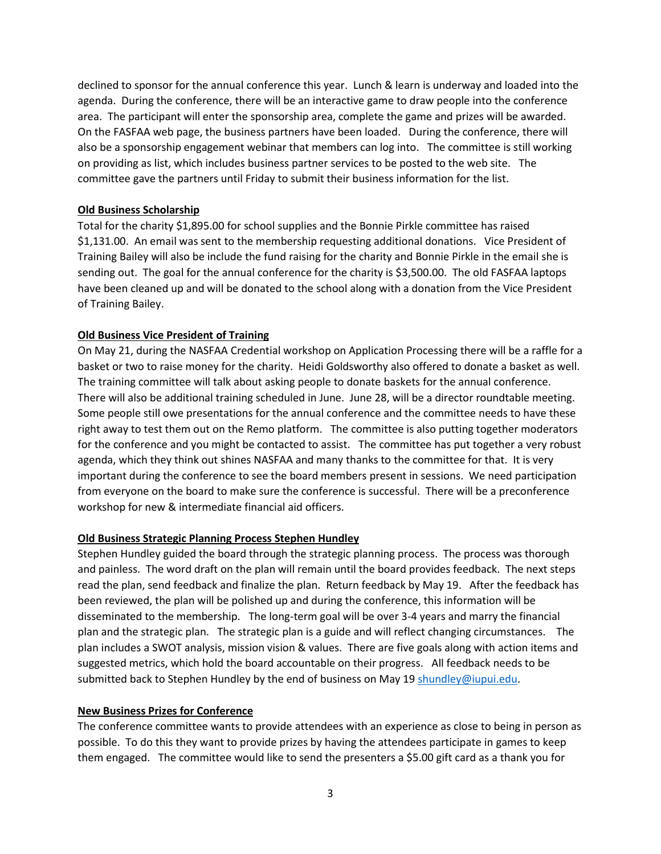declined to sponsor for the annual conference this year. Lunch & learn is underway and loaded into the agenda. During the conference, there will be an interactive game to draw people into the conference area. The participant will enter the sponsorship area, complete the game and prizes will be awarded. On the FASFAA web page, the business partners have been loaded. During the conference, there will also be a sponsorship engagement webinar that members can log into. The committee is still working on providing as list, which includes business partner services to be posted to the web site. The committee gave the partners until Friday to submit their business information for the list.

## **Old Business Scholarship**

Total for the charity \$1,895.00 for school supplies and the Bonnie Pirkle committee has raised \$1,131.00. An email was sent to the membership requesting additional donations. Vice President of Training Bailey will also be include the fund raising for the charity and Bonnie Pirkle in the email she is sending out. The goal for the annual conference for the charity is \$3,500.00. The old FASFAA laptops have been cleaned up and will be donated to the school along with a donation from the Vice President of Training Bailey.

## **Old Business Vice President of Training**

On May 21, during the NASFAA Credential workshop on Application Processing there will be a raffle for a basket or two to raise money for the charity. Heidi Goldsworthy also offered to donate a basket as well. The training committee will talk about asking people to donate baskets for the annual conference. There will also be additional training scheduled in June. June 28, will be a director roundtable meeting. Some people still owe presentations for the annual conference and the committee needs to have these right away to test them out on the Remo platform. The committee is also putting together moderators for the conference and you might be contacted to assist. The committee has put together a very robust agenda, which they think out shines NASFAA and many thanks to the committee for that. It is very important during the conference to see the board members present in sessions. We need participation from everyone on the board to make sure the conference is successful. There will be a preconference workshop for new & intermediate financial aid officers.

#### **Old Business Strategic Planning Process Stephen Hundley**

Stephen Hundley guided the board through the strategic planning process. The process was thorough and painless. The word draft on the plan will remain until the board provides feedback. The next steps read the plan, send feedback and finalize the plan. Return feedback by May 19. After the feedback has been reviewed, the plan will be polished up and during the conference, this information will be disseminated to the membership. The long-term goal will be over 3-4 years and marry the financial plan and the strategic plan. The strategic plan is a guide and will reflect changing circumstances. The plan includes a SWOT analysis, mission vision & values. There are five goals along with action items and suggested metrics, which hold the board accountable on their progress. All feedback needs to be submitted back to Stephen Hundley by the end of business on May 19 [shundley@iupui.edu.](mailto:shundley@iupui.edu)

## **New Business Prizes for Conference**

The conference committee wants to provide attendees with an experience as close to being in person as possible. To do this they want to provide prizes by having the attendees participate in games to keep them engaged. The committee would like to send the presenters a \$5.00 gift card as a thank you for